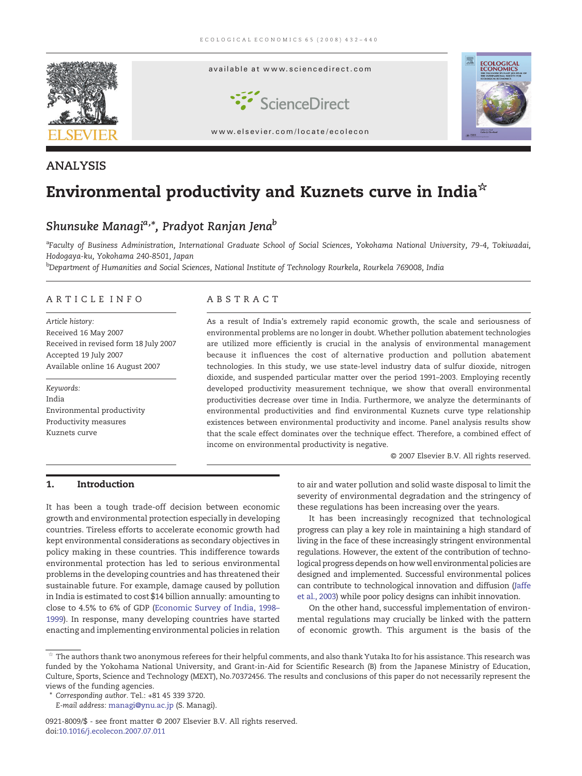

## ANALYSIS

# Environmental productivity and Kuznets curve in India $\alpha$

## Shunsuke Managi<sup>a,\*</sup>, Pradyot Ranjan Jena<sup>b</sup>

<sup>a</sup>Faculty of Business Administration, International Graduate School of Social Sciences, Yokohama National University, 79-4, Tokiwadai, Hodogaya-ku, Yokohama 240-8501, Japan

b Department of Humanities and Social Sciences, National Institute of Technology Rourkela, Rourkela 769008, India

### ARTICLE INFO ABSTRACT

Article history: Received 16 May 2007 Received in revised form 18 July 2007 Accepted 19 July 2007 Available online 16 August 2007

Keywords: India Environmental productivity Productivity measures Kuznets curve

As a result of India's extremely rapid economic growth, the scale and seriousness of environmental problems are no longer in doubt. Whether pollution abatement technologies are utilized more efficiently is crucial in the analysis of environmental management because it influences the cost of alternative production and pollution abatement technologies. In this study, we use state-level industry data of sulfur dioxide, nitrogen dioxide, and suspended particular matter over the period 1991–2003. Employing recently developed productivity measurement technique, we show that overall environmental productivities decrease over time in India. Furthermore, we analyze the determinants of environmental productivities and find environmental Kuznets curve type relationship existences between environmental productivity and income. Panel analysis results show that the scale effect dominates over the technique effect. Therefore, a combined effect of income on environmental productivity is negative.

© 2007 Elsevier B.V. All rights reserved.

### 1. Introduction

It has been a tough trade-off decision between economic growth and environmental protection especially in developing countries. Tireless efforts to accelerate economic growth had kept environmental considerations as secondary objectives in policy making in these countries. This indifference towards environmental protection has led to serious environmental problems in the developing countries and has threatened their sustainable future. For example, damage caused by pollution in India is estimated to cost \$14 billion annually: amounting to close to 4.5% to 6% of GDP ([Economic Survey of India, 1998](#page--1-0)– [1999\)](#page--1-0). In response, many developing countries have started enacting and implementing environmental policies in relation

to air and water pollution and solid waste disposal to limit the severity of environmental degradation and the stringency of these regulations has been increasing over the years.

It has been increasingly recognized that technological progress can play a key role in maintaining a high standard of living in the face of these increasingly stringent environmental regulations. However, the extent of the contribution of technological progress depends on how well environmental policies are designed and implemented. Successful environmental polices can contribute to technological innovation and diffusion ([Jaffe](#page--1-0) [et al., 2003\)](#page--1-0) while poor policy designs can inhibit innovation.

On the other hand, successful implementation of environmental regulations may crucially be linked with the pattern of economic growth. This argument is the basis of the

 $^\star$  The authors thank two anonymous referees for their helpful comments, and also thank Yutaka Ito for his assistance. This research was funded by the Yokohama National University, and Grant-in-Aid for Scientific Research (B) from the Japanese Ministry of Education, Culture, Sports, Science and Technology (MEXT), No.70372456. The results and conclusions of this paper do not necessarily represent the views of the funding agencies.

<sup>⁎</sup> Corresponding author. Tel.: +81 45 339 3720.

E-mail address: [managi@ynu.ac.jp](mailto:) (S. Managi).

<sup>0921-8009/\$ -</sup> see front matter © 2007 Elsevier B.V. All rights reserved. doi[:10.1016/j.ecolecon.2007.07.011](http://dx.doi.org/10.1016/j.ecolecon.2007.07.011)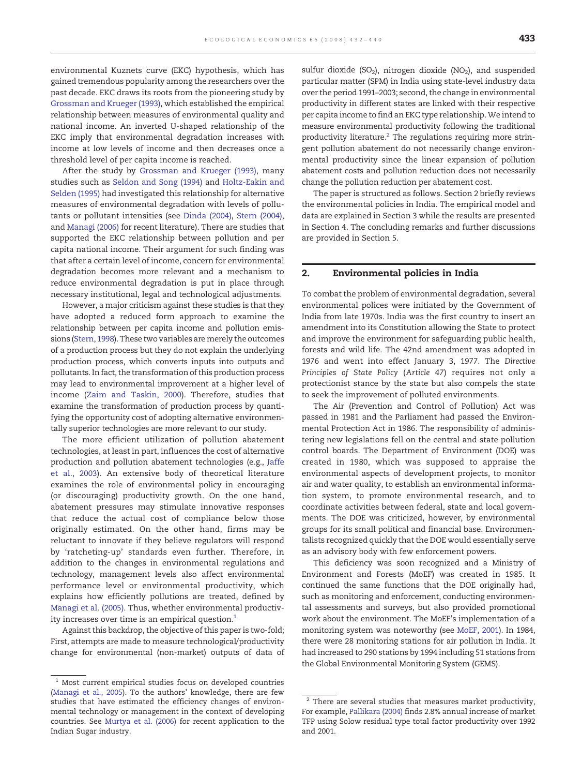environmental Kuznets curve (EKC) hypothesis, which has gained tremendous popularity among the researchers over the past decade. EKC draws its roots from the pioneering study by [Grossman and Krueger \(1993\)](#page--1-0), which established the empirical relationship between measures of environmental quality and national income. An inverted U-shaped relationship of the EKC imply that environmental degradation increases with income at low levels of income and then decreases once a threshold level of per capita income is reached.

After the study by [Grossman and Krueger \(1993\)](#page--1-0), many studies such as [Seldon and Song \(1994\)](#page--1-0) and [Holtz-Eakin and](#page--1-0) [Selden \(1995\)](#page--1-0) had investigated this relationship for alternative measures of environmental degradation with levels of pollutants or pollutant intensities (see [Dinda \(2004\),](#page--1-0) [Stern \(2004\),](#page--1-0) and [Managi \(2006\)](#page--1-0) for recent literature). There are studies that supported the EKC relationship between pollution and per capita national income. Their argument for such finding was that after a certain level of income, concern for environmental degradation becomes more relevant and a mechanism to reduce environmental degradation is put in place through necessary institutional, legal and technological adjustments.

However, a major criticism against these studies is that they have adopted a reduced form approach to examine the relationship between per capita income and pollution emis-sions ([Stern, 1998\)](#page--1-0). These two variables are merely the outcomes of a production process but they do not explain the underlying production process, which converts inputs into outputs and pollutants. In fact, the transformation of this production process may lead to environmental improvement at a higher level of income ([Zaim and Taskin, 2000\)](#page--1-0). Therefore, studies that examine the transformation of production process by quantifying the opportunity cost of adopting alternative environmentally superior technologies are more relevant to our study.

The more efficient utilization of pollution abatement technologies, at least in part, influences the cost of alternative production and pollution abatement technologies (e.g., [Jaffe](#page--1-0) [et al., 2003](#page--1-0)). An extensive body of theoretical literature examines the role of environmental policy in encouraging (or discouraging) productivity growth. On the one hand, abatement pressures may stimulate innovative responses that reduce the actual cost of compliance below those originally estimated. On the other hand, firms may be reluctant to innovate if they believe regulators will respond by 'ratcheting-up' standards even further. Therefore, in addition to the changes in environmental regulations and technology, management levels also affect environmental performance level or environmental productivity, which explains how efficiently pollutions are treated, defined by [Managi et al. \(2005\).](#page--1-0) Thus, whether environmental productivity increases over time is an empirical question. $<sup>1</sup>$ </sup>

Against this backdrop, the objective of this paper is two-fold; First, attempts are made to measure technological/productivity change for environmental (non-market) outputs of data of sulfur dioxide (SO<sub>2</sub>), nitrogen dioxide (NO<sub>2</sub>), and suspended particular matter (SPM) in India using state-level industry data over the period 1991–2003; second, the change in environmental productivity in different states are linked with their respective per capita income to find an EKC type relationship. We intend to measure environmental productivity following the traditional productivity literature. $2$  The regulations requiring more stringent pollution abatement do not necessarily change environmental productivity since the linear expansion of pollution abatement costs and pollution reduction does not necessarily change the pollution reduction per abatement cost.

The paper is structured as follows. Section 2 briefly reviews the environmental policies in India. The empirical model and data are explained in Section 3 while the results are presented in Section 4. The concluding remarks and further discussions are provided in Section 5.

### 2. Environmental policies in India

To combat the problem of environmental degradation, several environmental polices were initiated by the Government of India from late 1970s. India was the first country to insert an amendment into its Constitution allowing the State to protect and improve the environment for safeguarding public health, forests and wild life. The 42nd amendment was adopted in 1976 and went into effect January 3, 1977. The Directive Principles of State Policy (Article 47) requires not only a protectionist stance by the state but also compels the state to seek the improvement of polluted environments.

The Air (Prevention and Control of Pollution) Act was passed in 1981 and the Parliament had passed the Environmental Protection Act in 1986. The responsibility of administering new legislations fell on the central and state pollution control boards. The Department of Environment (DOE) was created in 1980, which was supposed to appraise the environmental aspects of development projects, to monitor air and water quality, to establish an environmental information system, to promote environmental research, and to coordinate activities between federal, state and local governments. The DOE was criticized, however, by environmental groups for its small political and financial base. Environmentalists recognized quickly that the DOE would essentially serve as an advisory body with few enforcement powers.

This deficiency was soon recognized and a Ministry of Environment and Forests (MoEF) was created in 1985. It continued the same functions that the DOE originally had, such as monitoring and enforcement, conducting environmental assessments and surveys, but also provided promotional work about the environment. The MoEF's implementation of a monitoring system was noteworthy (see [MoEF, 2001\)](#page--1-0). In 1984, there were 28 monitoring stations for air pollution in India. It had increased to 290 stations by 1994 including 51 stations from the Global Environmental Monitoring System (GEMS).

 $1$  Most current empirical studies focus on developed countries [\(Managi et al., 2005](#page--1-0)). To the authors' knowledge, there are few studies that have estimated the efficiency changes of environmental technology or management in the context of developing countries. See [Murtya et al. \(2006\)](#page--1-0) for recent application to the Indian Sugar industry.

 $2$  There are several studies that measures market productivity, For example, [Pallikara \(2004\)](#page--1-0) finds 2.8% annual increase of market TFP using Solow residual type total factor productivity over 1992 and 2001.